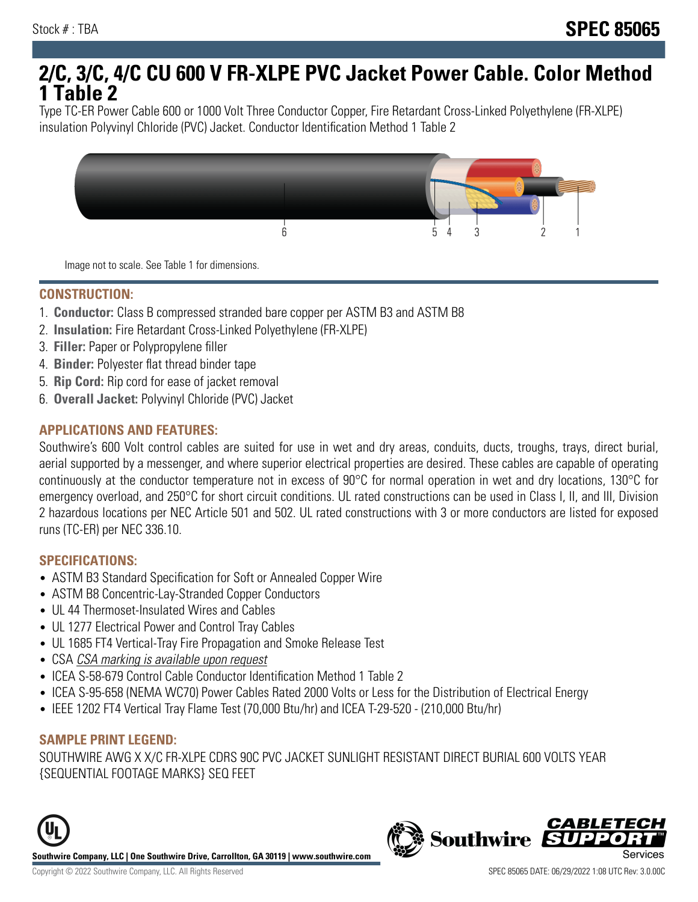# **2/C, 3/C, 4/C CU 600 V FR-XLPE PVC Jacket Power Cable. Color Method 1 Table 2**

Type TC-ER Power Cable 600 or 1000 Volt Three Conductor Copper, Fire Retardant Cross-Linked Polyethylene (FR-XLPE) insulation Polyvinyl Chloride (PVC) Jacket. Conductor Identification Method 1 Table 2



Image not to scale. See Table 1 for dimensions.

#### **CONSTRUCTION:**

- 1. **Conductor:** Class B compressed stranded bare copper per ASTM B3 and ASTM B8
- 2. **Insulation:** Fire Retardant Cross-Linked Polyethylene (FR-XLPE)
- 3. **Filler:** Paper or Polypropylene filler
- 4. **Binder:** Polyester flat thread binder tape
- 5. **Rip Cord:** Rip cord for ease of jacket removal
- 6. **Overall Jacket:** Polyvinyl Chloride (PVC) Jacket

## **APPLICATIONS AND FEATURES:**

Southwire's 600 Volt control cables are suited for use in wet and dry areas, conduits, ducts, troughs, trays, direct burial, aerial supported by a messenger, and where superior electrical properties are desired. These cables are capable of operating continuously at the conductor temperature not in excess of 90°C for normal operation in wet and dry locations, 130°C for emergency overload, and 250°C for short circuit conditions. UL rated constructions can be used in Class I, II, and III, Division 2 hazardous locations per NEC Article 501 and 502. UL rated constructions with 3 or more conductors are listed for exposed runs (TC-ER) per NEC 336.10.

#### **SPECIFICATIONS:**

- ASTM B3 Standard Specification for Soft or Annealed Copper Wire
- ASTM B8 Concentric-Lay-Stranded Copper Conductors
- UL 44 Thermoset-Insulated Wires and Cables
- UL 1277 Electrical Power and Control Tray Cables
- UL 1685 FT4 Vertical-Tray Fire Propagation and Smoke Release Test
- CSA CSA marking is available upon request
- ICEA S-58-679 Control Cable Conductor Identification Method 1 Table 2
- ICEA S-95-658 (NEMA WC70) Power Cables Rated 2000 Volts or Less for the Distribution of Electrical Energy
- IEEE 1202 FT4 Vertical Tray Flame Test (70,000 Btu/hr) and ICEA T-29-520 (210,000 Btu/hr)

#### **SAMPLE PRINT LEGEND:**

SOUTHWIRE AWG X X/C FR-XLPE CDRS 90C PVC JACKET SUNLIGHT RESISTANT DIRECT BURIAL 600 VOLTS YEAR {SEQUENTIAL FOOTAGE MARKS} SEQ FEET